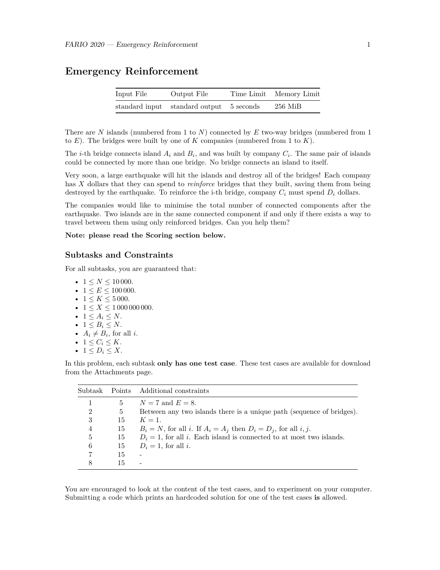### **Emergency Reinforcement**

| Input File | Output File                              | Time Limit Memory Limit |
|------------|------------------------------------------|-------------------------|
|            | standard input standard output 5 seconds | $256$ MiB               |

There are *N* islands (numbered from 1 to *N*) connected by *E* two-way bridges (numbered from 1 to *E*). The bridges were built by one of *K* companies (numbered from 1 to *K*).

The *i*-th bridge connects island  $A_i$  and  $B_i$ , and was built by company  $C_i$ . The same pair of islands could be connected by more than one bridge. No bridge connects an island to itself.

Very soon, a large earthquake will hit the islands and destroy all of the bridges! Each company has *X* dollars that they can spend to *reinforce* bridges that they built, saving them from being destroyed by the earthquake. To reinforce the i-th bridge, company  $C_i$  must spend  $D_i$  dollars.

The companies would like to minimise the total number of connected components after the earthquake. Two islands are in the same connected component if and only if there exists a way to travel between them using only reinforced bridges. Can you help them?

#### **Note: please read the Scoring section below.**

#### **Subtasks and Constraints**

For all subtasks, you are guaranteed that:

- $1 \le N \le 10000$ .
- $1 \leq E \leq 100000$ .
- $1 \le K \le 5000$ .
- $1 \le X \le 1000000000$ .
- $1 \leq A_i \leq N$ .
- $1 \leq B_i \leq N$ .
- $A_i \neq B_i$ , for all *i*.
- $1 \leq C_i \leq K$ .
- $1 \leq D_i \leq X$ .

In this problem, each subtask **only has one test case**. These test cases are available for download from the Attachments page.

| Subtask        |    | Points Additional constraints                                           |
|----------------|----|-------------------------------------------------------------------------|
|                | 5  | $N = 7$ and $E = 8$ .                                                   |
| $\overline{2}$ | 5  | Between any two islands there is a unique path (sequence of bridges).   |
| 3              | 15 | $K=1$ .                                                                 |
| $\overline{4}$ | 15 | $B_i = N$ , for all i. If $A_i = A_j$ then $D_i = D_j$ , for all i, j.  |
| 5              | 15 | $D_i = 1$ , for all i. Each island is connected to at most two islands. |
| 6              | 15 | $D_i = 1$ , for all i.                                                  |
|                | 15 |                                                                         |
|                | 15 | ۰                                                                       |

You are encouraged to look at the content of the test cases, and to experiment on your computer. Submitting a code which prints an hardcoded solution for one of the test cases **is** allowed.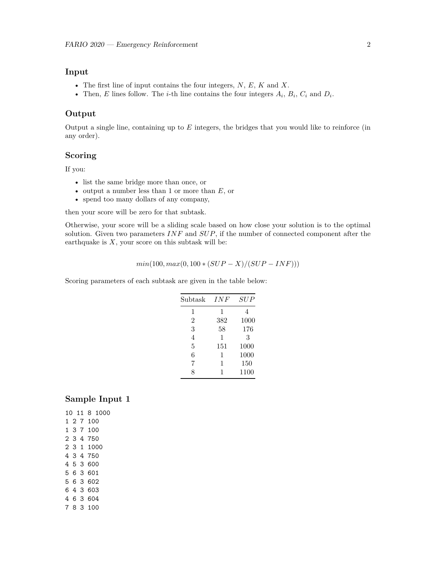### **Input**

- The first line of input contains the four integers, *N*, *E*, *K* and *X*.
- Then, *E* lines follow. The *i*-th line contains the four integers  $A_i$ ,  $B_i$ ,  $C_i$  and  $D_i$ .

#### **Output**

Output a single line, containing up to *E* integers, the bridges that you would like to reinforce (in any order).

### **Scoring**

If you:

- list the same bridge more than once, or
- output a number less than 1 or more than *E*, or
- spend too many dollars of any company,

then your score will be zero for that subtask.

Otherwise, your score will be a sliding scale based on how close your solution is to the optimal solution. Given two parameters *INF* and *SUP*, if the number of connected component after the earthquake is  $X$ , your score on this subtask will be:

$$
min(100, max(0, 100 * (SUP - X)/(SUP - INF)))
$$

Scoring parameters of each subtask are given in the table below:

| Subtask | <b>INF</b> | SUP  |
|---------|------------|------|
| 1       | 1          | 4    |
| 2       | 382        | 1000 |
| 3       | 58         | 176  |
| 4       | 1          | 3    |
| 5       | 151        | 1000 |
| 6       | 1          | 1000 |
| 7       | 1          | 150  |
| 8       |            | 1100 |

#### **Sample Input 1**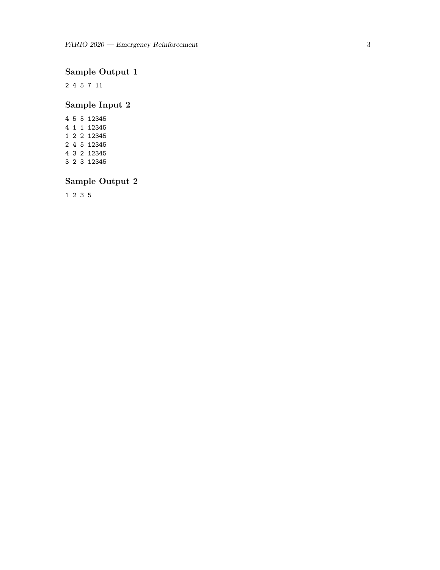# **Sample Output 1**

2 4 5 7 11

## **Sample Input 2**

## **Sample Output 2**

1 2 3 5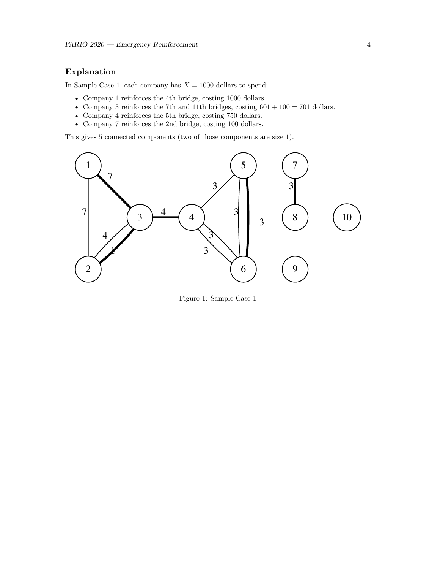### **Explanation**

In Sample Case 1, each company has  $X = 1000$  dollars to spend:

- Company 1 reinforces the 4th bridge, costing 1000 dollars.
- Company 3 reinforces the 7th and 11th bridges, costing  $601 + 100 = 701$  dollars.
- Company 4 reinforces the 5th bridge, costing 750 dollars.
- Company 7 reinforces the 2nd bridge, costing 100 dollars.

This gives 5 connected components (two of those components are size 1).



Figure 1: Sample Case 1